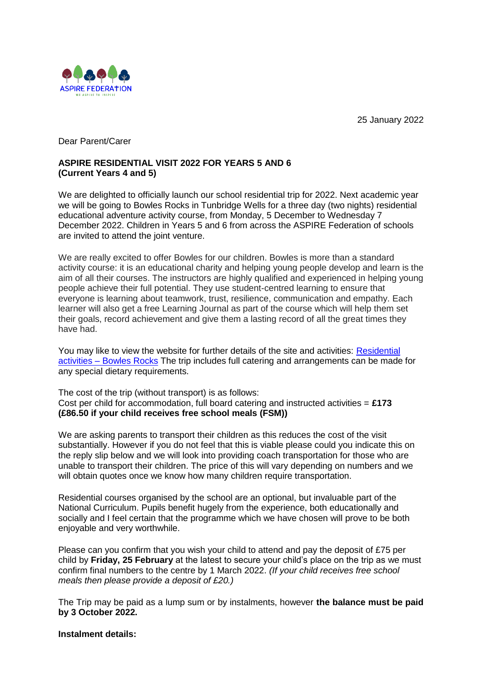25 January 2022



Dear Parent/Carer

## **ASPIRE RESIDENTIAL VISIT 2022 FOR YEARS 5 AND 6 (Current Years 4 and 5)**

We are delighted to officially launch our school residential trip for 2022. Next academic year we will be going to Bowles Rocks in Tunbridge Wells for a three day (two nights) residential educational adventure activity course, from Monday, 5 December to Wednesday 7 December 2022. Children in Years 5 and 6 from across the ASPIRE Federation of schools are invited to attend the joint venture.

We are really excited to offer Bowles for our children. Bowles is more than a standard activity course: it is an educational charity and helping young people develop and learn is the aim of all their courses. The instructors are highly qualified and experienced in helping young people achieve their full potential. They use student-centred learning to ensure that everyone is learning about teamwork, trust, resilience, communication and empathy. Each learner will also get a free Learning Journal as part of the course which will help them set their goals, record achievement and give them a lasting record of all the great times they have had.

You may like to view the website for further details of the site and activities: [Residential](https://bowles.rocks/schools-and-colleges/residential-activities/)  activities – [Bowles Rocks](https://bowles.rocks/schools-and-colleges/residential-activities/) The trip includes full catering and arrangements can be made for any special dietary requirements.

The cost of the trip (without transport) is as follows: Cost per child for accommodation, full board catering and instructed activities = **£173 (£86.50 if your child receives free school meals (FSM))**

We are asking parents to transport their children as this reduces the cost of the visit substantially. However if you do not feel that this is viable please could you indicate this on the reply slip below and we will look into providing coach transportation for those who are unable to transport their children. The price of this will vary depending on numbers and we will obtain quotes once we know how many children require transportation.

Residential courses organised by the school are an optional, but invaluable part of the National Curriculum. Pupils benefit hugely from the experience, both educationally and socially and I feel certain that the programme which we have chosen will prove to be both enjoyable and very worthwhile.

Please can you confirm that you wish your child to attend and pay the deposit of £75 per child by **Friday, 25 February** at the latest to secure your child's place on the trip as we must confirm final numbers to the centre by 1 March 2022. *(If your child receives free school meals then please provide a deposit of £20.)*

The Trip may be paid as a lump sum or by instalments, however **the balance must be paid by 3 October 2022.**

## **Instalment details:**